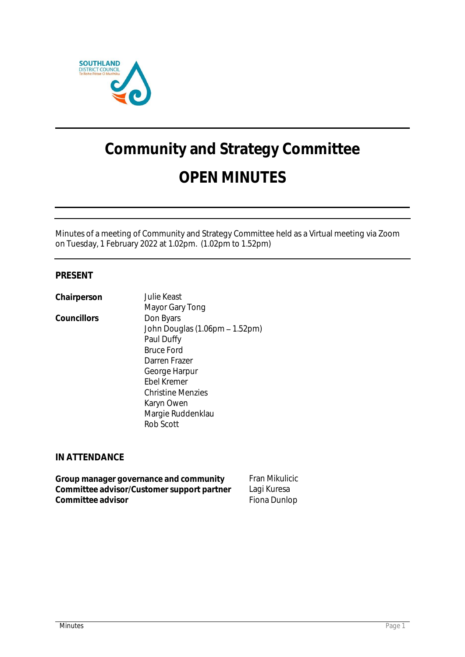

# **Community and Strategy Committee OPEN MINUTES**

Minutes of a meeting of Community and Strategy Committee held as a Virtual meeting via Zoom on Tuesday, 1 February 2022 at 1.02pm. (1.02pm to 1.52pm)

# **PRESENT**

**Chairperson** Julie Keast

Councillors **Don Byars** 

Mayor Gary Tong John Douglas (1.06pm - 1.52pm) Paul Duffy Bruce Ford Darren Frazer George Harpur Ebel Kremer Christine Menzies Karyn Owen Margie Ruddenklau Rob Scott

# **IN ATTENDANCE**

Group manager governance and community Fran Mikulicic **Committee advisor/Customer support partner** Lagi Kuresa **Committee advisor Committee advisor Fiona Dunlop**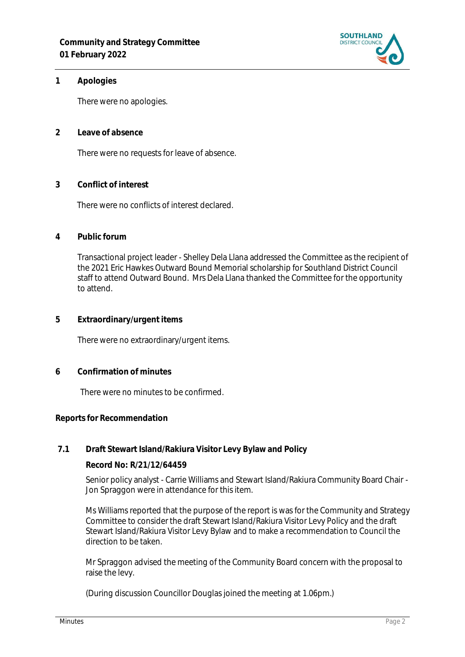

## **1 Apologies**

There were no apologies.

**2 Leave of absence** 

There were no requests for leave of absence.

**3 Conflict of interest**

There were no conflicts of interest declared.

**4 Public forum**

Transactional project leader - Shelley Dela Llana addressed the Committee as the recipient of the 2021 Eric Hawkes Outward Bound Memorial scholarship for Southland District Council staff to attend Outward Bound. Mrs Dela Llana thanked the Committee for the opportunity to attend.

**5 Extraordinary/urgent items**

There were no extraordinary/urgent items.

**6 Confirmation of minutes**

There were no minutes to be confirmed.

## **Reports for Recommendation**

## **7.1 Draft Stewart Island/Rakiura Visitor Levy Bylaw and Policy**

**Record No: R/21/12/64459**

Senior policy analyst - Carrie Williams and Stewart Island/Rakiura Community Board Chair - Jon Spraggon were in attendance for this item.

Ms Williams reported that the purpose of the report is was for the Community and Strategy Committee to consider the draft Stewart Island/Rakiura Visitor Levy Policy and the draft Stewart Island/Rakiura Visitor Levy Bylaw and to make a recommendation to Council the direction to be taken.

Mr Spraggon advised the meeting of the Community Board concern with the proposal to raise the levy.

(During discussion Councillor Douglas joined the meeting at 1.06pm.)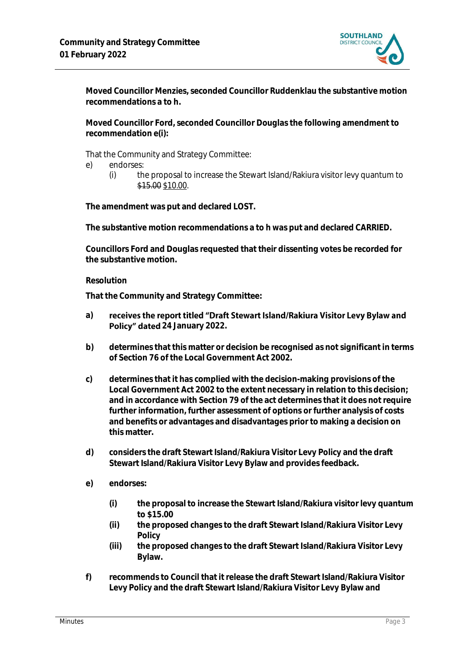

**Moved Councillor Menzies, seconded Councillor Ruddenklau the substantive motion recommendations a to h.**

**Moved Councillor Ford, seconded Councillor Douglas the following amendment to recommendation e(i):**

That the Community and Strategy Committee:

- e) endorses:
	- (i) the proposal to increase the Stewart Island/Rakiura visitor levy quantum to \$15.00 \$10.00.

**The amendment was put and declared LOST.**

**The substantive motion recommendations a to h was put and declared CARRIED.**

**Councillors Ford and Douglas requested that their dissenting votes be recorded for the substantive motion.**

## **Resolution**

**That the Community and Strategy Committee:**

- **a)** receives the report titled "Draft Stewart Island/Rakiura Visitor Levy Bylaw and Policy" dated 24 January 2022.
- **b) determines that this matter or decision be recognised as not significant in terms of Section 76 of the Local Government Act 2002.**
- **c) determines that it has complied with the decision-making provisions of the Local Government Act 2002 to the extent necessary in relation to this decision; and in accordance with Section 79 of the act determines that it does not require further information, further assessment of options or further analysis of costs and benefits or advantages and disadvantages prior to making a decision on this matter.**
- **d) considers the draft Stewart Island/Rakiura Visitor Levy Policy and the draft Stewart Island/Rakiura Visitor Levy Bylaw and provides feedback.**
- **e) endorses:** 
	- **(i) the proposal to increase the Stewart Island/Rakiura visitor levy quantum to \$15.00**
	- **(ii) the proposed changes to the draft Stewart Island/Rakiura Visitor Levy Policy**
	- **(iii) the proposed changes to the draft Stewart Island/Rakiura Visitor Levy Bylaw.**
- **f) recommends to Council that it release the draft Stewart Island/Rakiura Visitor Levy Policy and the draft Stewart Island/Rakiura Visitor Levy Bylaw and**